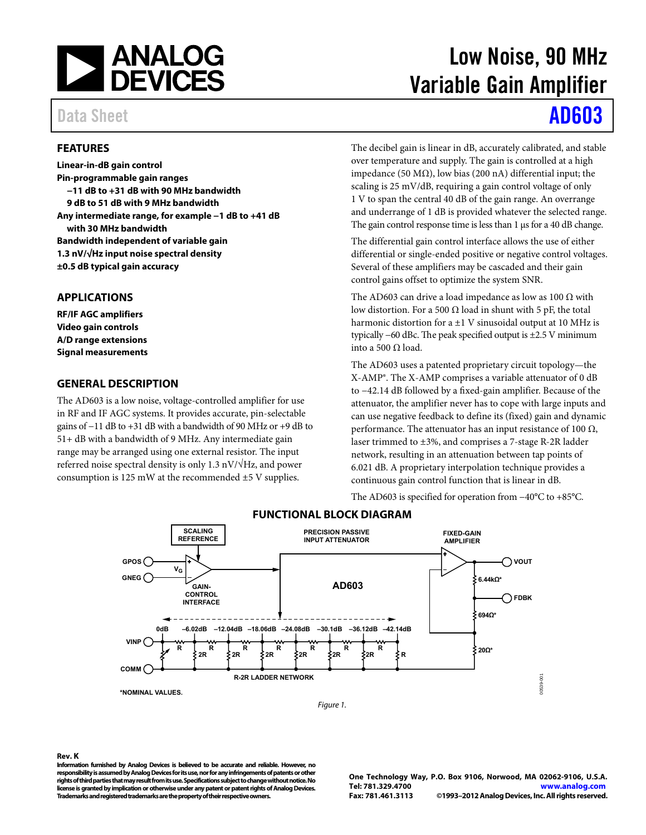

### <span id="page-0-0"></span>**FEATURES**

**Linear-in-dB gain control Pin-programmable gain ranges −11 dB to +31 dB with 90 MHz bandwidth 9 dB to 51 dB with 9 MHz bandwidth Any intermediate range, for example −1 dB to +41 dB with 30 MHz bandwidth Bandwidth independent of variable gain 1.3 nV/√Hz input noise spectral density ±0.5 dB typical gain accuracy** 

#### <span id="page-0-1"></span>**APPLICATIONS**

**RF/IF AGC amplifiers Video gain controls A/D range extensions Signal measurements** 

#### <span id="page-0-2"></span>**GENERAL DESCRIPTION**

The AD603 is a low noise, voltage-controlled amplifier for use in RF and IF AGC systems. It provides accurate, pin-selectable gains of −11 dB to +31 dB with a bandwidth of 90 MHz or +9 dB to 51+ dB with a bandwidth of 9 MHz. Any intermediate gain range may be arranged using one external resistor. The input referred noise spectral density is only 1.3 nV/ $\sqrt{Hz}$ , and power consumption is 125 mW at the recommended ±5 V supplies.

# Low Noise, 90 MHz Variable Gain Amplifier

# Data Sheet **[AD603](http://www.analog.com/AD603)**

The decibel gain is linear in dB, accurately calibrated, and stable over temperature and supply. The gain is controlled at a high impedance (50 MΩ), low bias (200 nA) differential input; the scaling is 25 mV/dB, requiring a gain control voltage of only 1 V to span the central 40 dB of the gain range. An overrange and underrange of 1 dB is provided whatever the selected range. The gain control response time is less than 1 μs for a 40 dB change.

The differential gain control interface allows the use of either differential or single-ended positive or negative control voltages. Several of these amplifiers may be cascaded and their gain control gains offset to optimize the system SNR.

The AD603 can drive a load impedance as low as 100  $\Omega$  with low distortion. For a 500 Ω load in shunt with 5 pF, the total harmonic distortion for a  $\pm 1$  V sinusoidal output at 10 MHz is typically −60 dBc. The peak specified output is ±2.5 V minimum into a 500 Ω load.

The AD603 uses a patented proprietary circuit topology—the X-AMP®. The X-AMP comprises a variable attenuator of 0 dB to −42.14 dB followed by a fixed-gain amplifier. Because of the attenuator, the amplifier never has to cope with large inputs and can use negative feedback to define its (fixed) gain and dynamic performance. The attenuator has an input resistance of 100  $\Omega$ , laser trimmed to ±3%, and comprises a 7-stage R-2R ladder network, resulting in an attenuation between tap points of 6.021 dB. A proprietary interpolation technique provides a continuous gain control function that is linear in dB.

The AD603 is specified for operation from −40°C to +85°C.

<span id="page-0-3"></span>

### **FUNCTIONAL BLOCK DIAGRAM**

#### **Rev. K**

**Information furnished by Analog Devices is believed to be accurate and reliable. However, no responsibility is assumed by Analog Devices for its use, nor for any infringements of patents or other rights of third parties that may result from its use. Specifications subject to change without notice. No license is granted by implication or otherwise under any patent or patent rights of Analog Devices. Trademarks and registered trademarks are the property of their respective owners.** 

**One Technology Way, P.O. Box 9106, Norwood, MA 02062-9106, U.S.A. Tel: 781.329.4700 [www.analog.com](http://www.analog.com/)** ©1993-2012 Analog Devices, Inc. All rights reserved.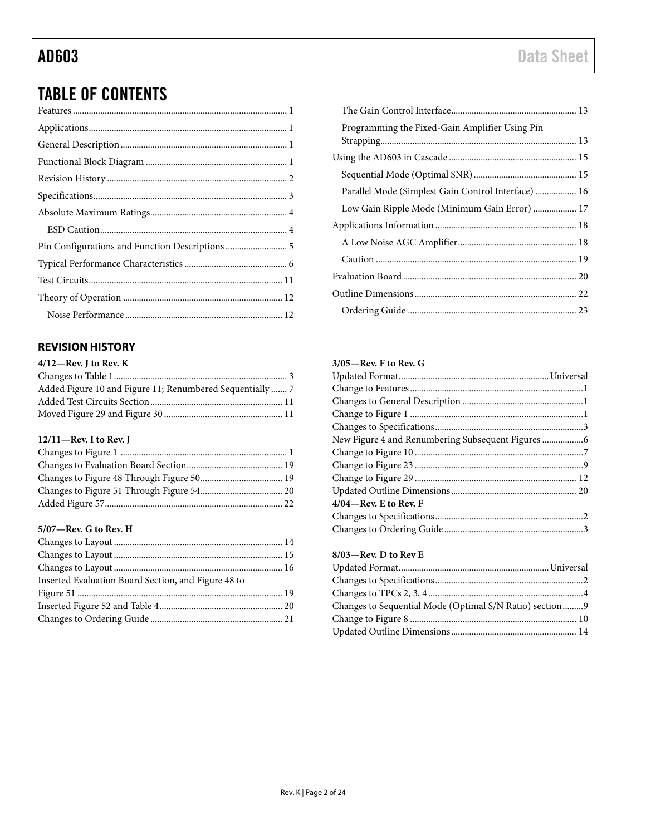## **TABLE OF CONTENTS**

### <span id="page-1-0"></span>**REVISION HISTORY**

| $4/12$ —Rev. I to Rev. K                                  |  |
|-----------------------------------------------------------|--|
|                                                           |  |
| Added Figure 10 and Figure 11; Renumbered Sequentially  7 |  |
|                                                           |  |
|                                                           |  |
|                                                           |  |

#### 12/11-Rev. I to Rev. J

### 5/07-Rev. G to Rev. H

| Inserted Evaluation Board Section, and Figure 48 to |  |
|-----------------------------------------------------|--|
|                                                     |  |
|                                                     |  |
|                                                     |  |
|                                                     |  |

| Programming the Fixed-Gain Amplifier Using Pin      |  |
|-----------------------------------------------------|--|
|                                                     |  |
|                                                     |  |
| Parallel Mode (Simplest Gain Control Interface)  16 |  |
| Low Gain Ripple Mode (Minimum Gain Error)  17       |  |
|                                                     |  |
|                                                     |  |
|                                                     |  |
|                                                     |  |
|                                                     |  |
|                                                     |  |
|                                                     |  |

#### $3/05$ —Rev. F to Rev. G

| $4/04$ —Rev. E to Rev. F |  |
|--------------------------|--|
|                          |  |
|                          |  |

### 8/03-Rev. D to Rev E

| Changes to Sequential Mode (Optimal S/N Ratio) section9 |  |
|---------------------------------------------------------|--|
|                                                         |  |
|                                                         |  |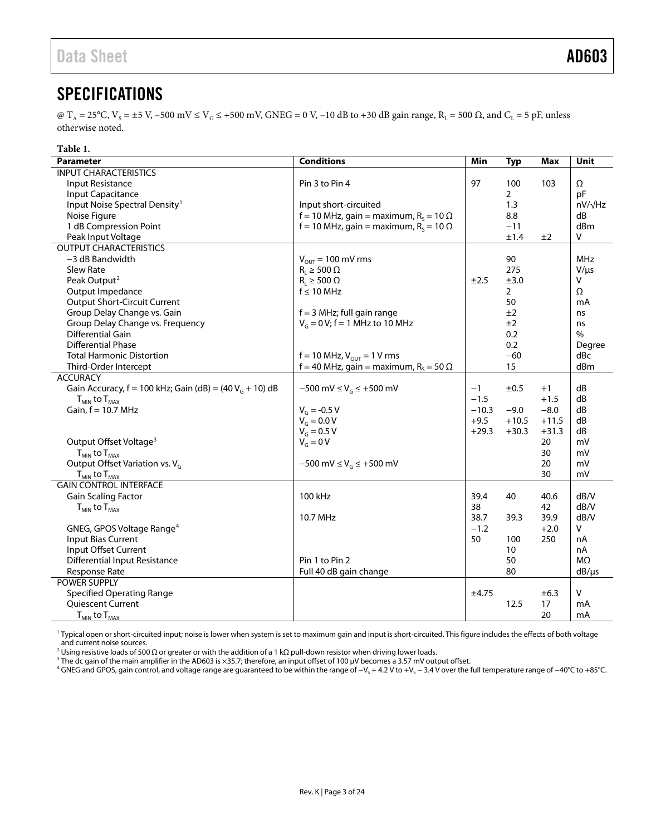## <span id="page-2-0"></span>**SPECIFICATIONS**

@ T<sub>A</sub> = 25°C, V<sub>S</sub> = ±5 V, -500 mV  $\leq$  V<sub>G</sub>  $\leq$  +500 mV, GNEG = 0 V, -10 dB to +30 dB gain range, R<sub>L</sub> = 500  $\Omega$ , and C<sub>L</sub> = 5 pF, unless otherwise noted.

| Table 1.                                                              |                                                          |         |                |         |                |
|-----------------------------------------------------------------------|----------------------------------------------------------|---------|----------------|---------|----------------|
| <b>Parameter</b>                                                      | <b>Conditions</b>                                        | Min     | <b>Typ</b>     | Max     | <b>Unit</b>    |
| <b>INPUT CHARACTERISTICS</b>                                          |                                                          |         |                |         |                |
| Input Resistance                                                      | Pin 3 to Pin 4                                           | 97      | 100            | 103     | Ω              |
| Input Capacitance                                                     |                                                          |         | $\overline{2}$ |         | pF             |
| Input Noise Spectral Density <sup>1</sup>                             | Input short-circuited                                    |         | 1.3            |         | $nV/\sqrt{Hz}$ |
| Noise Figure                                                          | f = 10 MHz, gain = maximum, R <sub>s</sub> = 10 $\Omega$ |         | 8.8            |         | dB             |
| 1 dB Compression Point                                                | f = 10 MHz, gain = maximum, R <sub>s</sub> = 10 $\Omega$ |         | $-11$          |         | dBm            |
| Peak Input Voltage                                                    |                                                          |         | ±1.4           | ±2      | V              |
| <b>OUTPUT CHARACTERISTICS</b>                                         |                                                          |         |                |         |                |
| -3 dB Bandwidth                                                       | $V_{\text{out}}$ = 100 mV rms                            |         | 90             |         | <b>MHz</b>     |
| Slew Rate                                                             | $R_1 \ge 500 \Omega$                                     |         | 275            |         | $V/\mu s$      |
| Peak Output <sup>2</sup>                                              | $R_L \ge 500 \Omega$                                     | ±2.5    | ±3.0           |         | v              |
| Output Impedance                                                      | $f \leq 10$ MHz                                          |         | $\overline{2}$ |         | Ω              |
| <b>Output Short-Circuit Current</b>                                   |                                                          |         | 50             |         | mA             |
| Group Delay Change vs. Gain                                           | $f = 3$ MHz; full gain range                             |         | ±2             |         | ns             |
| Group Delay Change vs. Frequency                                      | $V_G = 0 V$ ; f = 1 MHz to 10 MHz                        |         | ±2             |         | ns             |
| Differential Gain                                                     |                                                          |         | 0.2            |         | $\%$           |
| <b>Differential Phase</b>                                             |                                                          |         | 0.2            |         | Degree         |
| <b>Total Harmonic Distortion</b>                                      | $f = 10$ MHz, $V_{OUT} = 1$ V rms                        |         | $-60$          |         | dBc            |
| Third-Order Intercept                                                 | f = 40 MHz, gain = maximum, $R_s$ = 50 $\Omega$          |         | 15             |         | dBm            |
| <b>ACCURACY</b>                                                       |                                                          |         |                |         |                |
| Gain Accuracy, $f = 100$ kHz; Gain (dB) = (40 V <sub>G</sub> + 10) dB | $-500$ mV $\leq$ V <sub>G</sub> $\leq$ +500 mV           | $-1$    | ±0.5           | $+1$    | dB             |
| $T_{MIN}$ to $T_{MAX}$                                                |                                                          | $-1.5$  |                | $+1.5$  | dB             |
| Gain, $f = 10.7$ MHz                                                  | $V_{G} = -0.5 V$                                         | $-10.3$ | $-9.0$         | $-8.0$  | dB             |
|                                                                       | $V_{G} = 0.0 V$                                          | $+9.5$  | $+10.5$        | $+11.5$ | dB             |
|                                                                       | $V_{G} = 0.5 V$                                          | $+29.3$ | $+30.3$        | $+31.3$ | dB             |
| Output Offset Voltage <sup>3</sup>                                    | $V_G = 0 V$                                              |         |                | 20      | mV             |
| $T_{MIN}$ to $T_{MAX}$                                                |                                                          |         |                | 30      | mV             |
| Output Offset Variation vs. V <sub>G</sub>                            | $-500$ mV $\leq$ V <sub>G</sub> $\leq$ +500 mV           |         |                | 20      | mV             |
| $T_{MIN}$ to $T_{MAX}$                                                |                                                          |         |                | 30      | mV             |
| <b>GAIN CONTROL INTERFACE</b>                                         |                                                          |         |                |         |                |
| Gain Scaling Factor                                                   | 100 kHz                                                  | 39.4    | 40             | 40.6    | dB/V           |
| $T_{MIN}$ to $T_{MAX}$                                                |                                                          | 38      |                | 42      | dB/V           |
|                                                                       | 10.7 MHz                                                 | 38.7    | 39.3           | 39.9    | dB/V           |
| GNEG, GPOS Voltage Range <sup>4</sup>                                 |                                                          | $-1.2$  |                | $+2.0$  | V              |
| Input Bias Current                                                    |                                                          | 50      | 100            | 250     | nA             |
| Input Offset Current                                                  |                                                          |         | 10             |         | nA             |
| <b>Differential Input Resistance</b>                                  | Pin 1 to Pin 2                                           |         | 50             |         | ΜΩ             |
| Response Rate                                                         | Full 40 dB gain change                                   |         | 80             |         | $dB/\mu s$     |
| <b>POWER SUPPLY</b>                                                   |                                                          |         |                |         |                |
| <b>Specified Operating Range</b>                                      |                                                          | ±4.75   |                | ±6.3    | $\sf V$        |
| Quiescent Current                                                     |                                                          |         | 12.5           | 17      | mA             |
| $T_{MIN}$ to $T_{MAX}$                                                |                                                          |         |                | 20      | mA             |

<sup>1</sup> Typical open or short-circuited input; noise is lower when system is set to maximum gain and input is short-circuited. This figure includes the effects of both voltage and current noise sources.

 $^2$  Using resistive loads of 500 Ω or greater or with the addition of a 1 kΩ pull-down resistor when driving lower loads.

 $^3$  The dc gain of the main amplifier in the AD603 is  $\times$ 35.7; therefore, an input offset of 100 µV becomes a 3.57 mV output offset.

<sup>4</sup> GNEG and GPOS, gain control, and voltage range are guaranteed to be within the range of −V<sub>S</sub> + 4.2 V to +V<sub>S</sub> − 3.4 V over the full temperature range of −40°C to +85°C.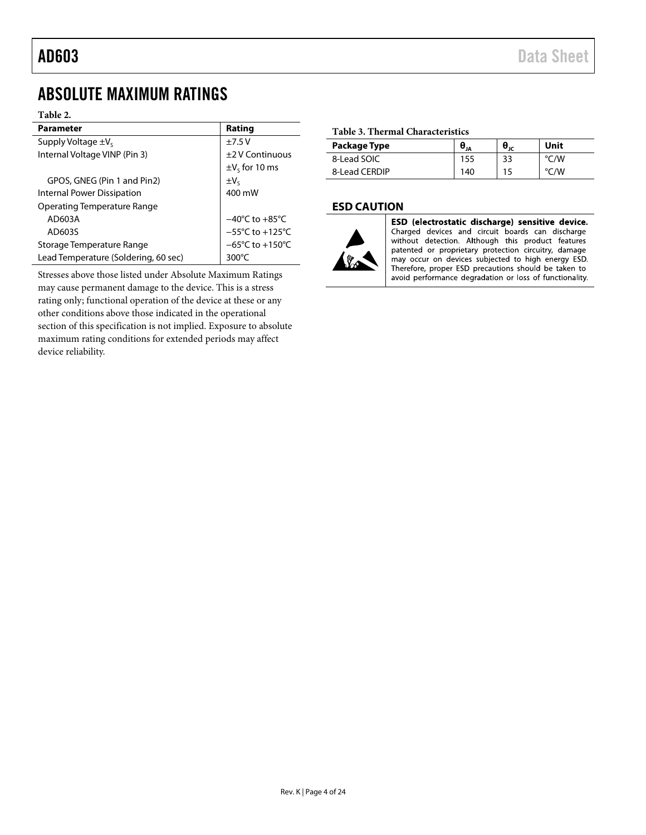## <span id="page-3-0"></span>ABSOLUTE MAXIMUM RATINGS

#### **Table 2.**

| <b>Parameter</b>                     | Rating                              |
|--------------------------------------|-------------------------------------|
| Supply Voltage $\pm V_s$             | $+7.5V$                             |
| Internal Voltage VINP (Pin 3)        | +2 V Continuous                     |
|                                      | $\pm V_{s}$ for 10 ms               |
| GPOS, GNEG (Pin 1 and Pin2)          | $\pm V_c$                           |
| Internal Power Dissipation           | 400 mW                              |
| <b>Operating Temperature Range</b>   |                                     |
| AD603A                               | $-40^{\circ}$ C to $+85^{\circ}$ C  |
| AD603S                               | $-55^{\circ}$ C to $+125^{\circ}$ C |
| Storage Temperature Range            | $-65^{\circ}$ C to $+150^{\circ}$ C |
| Lead Temperature (Soldering, 60 sec) | 300°C                               |

<span id="page-3-5"></span><span id="page-3-4"></span><span id="page-3-3"></span><span id="page-3-2"></span>Stresses above those listed under Absolute Maximum Ratings may cause permanent damage to the device. This is a stress rating only; functional operation of the device at these or any other conditions above those indicated in the operational section of this specification is not implied. Exposure to absolute maximum rating conditions for extended periods may affect device reliability.

#### **Table 3. Thermal Characteristics**

| Package Type  | $\Theta_{JA}$ | $\bm{\theta}_{\texttt{JC}}$ | Unit |
|---------------|---------------|-----------------------------|------|
| 8-Lead SOIC   | 155           | 33                          | °C/W |
| 8-Lead CERDIP | 140           | 15                          | °C/W |

### <span id="page-3-1"></span>**ESD CAUTION**



ESD (electrostatic discharge) sensitive device. Charged devices and circuit boards can discharge without detection. Although this product features patented or proprietary protection circuitry, damage may occur on devices subjected to high energy ESD. Therefore, proper ESD precautions should be taken to avoid performance degradation or loss of functionality.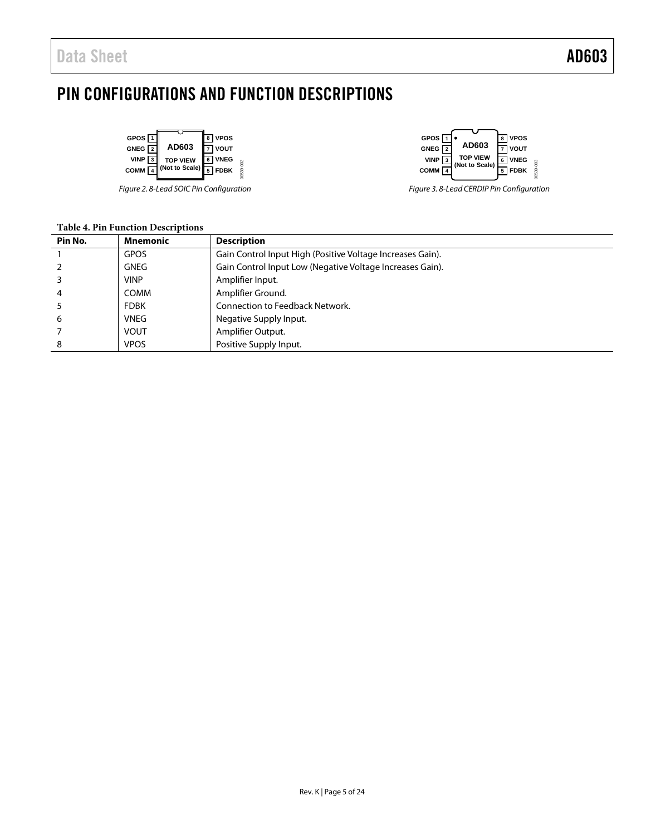## <span id="page-4-0"></span>PIN CONFIGURATIONS AND FUNCTION DESCRIPTIONS

| GPOS $\sqrt{1}$  |                 | <b>VPOS</b>   |        |
|------------------|-----------------|---------------|--------|
| GNEG $\boxed{2}$ | AD603           | <b>I VOUT</b> |        |
| <b>VINP</b>      | <b>TOP VIEW</b> | <b>VNEG</b>   |        |
| COMM             | (Not to Scale)  | <b>FDBK</b>   | 39-002 |

*Figure 2. 8-Lead SOIC Pin Configuration*



*Figure 3. 8-Lead CERDIP Pin Configuration*

| <b>Table 4. Pin Function Descriptions</b> |  |
|-------------------------------------------|--|
|                                           |  |

| Pin No. | <b>Mnemonic</b> | <b>Description</b>                                         |  |  |
|---------|-----------------|------------------------------------------------------------|--|--|
|         | <b>GPOS</b>     | Gain Control Input High (Positive Voltage Increases Gain). |  |  |
|         | <b>GNEG</b>     | Gain Control Input Low (Negative Voltage Increases Gain).  |  |  |
|         | <b>VINP</b>     | Amplifier Input.                                           |  |  |
| 4       | COMM            | Amplifier Ground.                                          |  |  |
|         | <b>FDBK</b>     | <b>Connection to Feedback Network.</b>                     |  |  |
| 6       | <b>VNEG</b>     | Negative Supply Input.                                     |  |  |
|         | <b>VOUT</b>     | Amplifier Output.                                          |  |  |
| 8       | <b>VPOS</b>     | Positive Supply Input.                                     |  |  |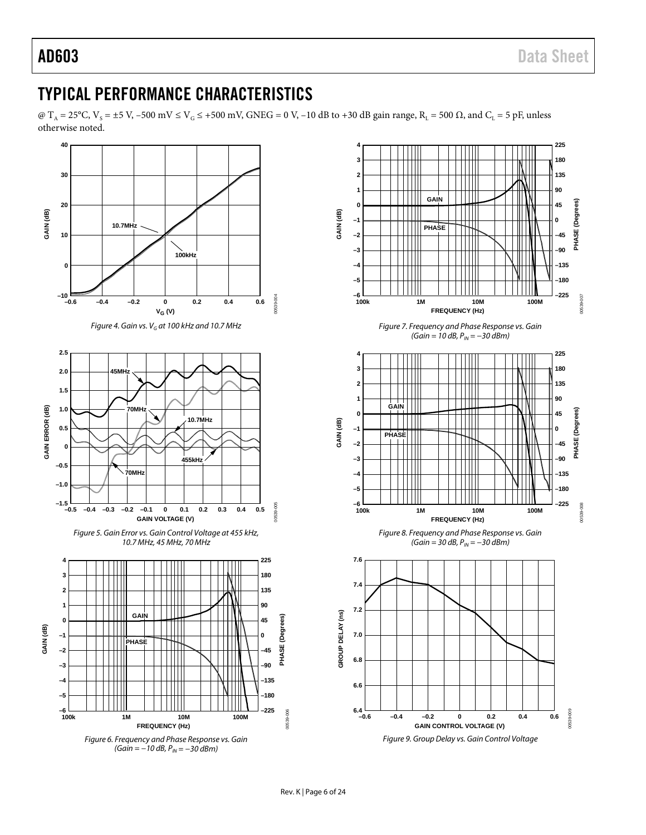00539-007

100-665000

00539-008

0539

pos

**–225**

00539-009

**PHASE (Degrees)**

**PHASE** 

Degrees

**PHASE (Degrees)**

**PHASE** 

(Degrees)

**–225**

**225**

**0 –45 –90 –135 –180**

**–180 –135**

## <span id="page-5-0"></span>TYPICAL PERFORMANCE CHARACTERISTICS

@ T<sub>A</sub> = 25°C, V<sub>S</sub> = ±5 V, -500 mV  $\leq$  V<sub>G</sub>  $\leq$  +500 mV, GNEG = 0 V, -10 dB to +30 dB gain range, R<sub>L</sub> = 500  $\Omega$ , and C<sub>L</sub> = 5 pF, unless otherwise noted.

<span id="page-5-1"></span>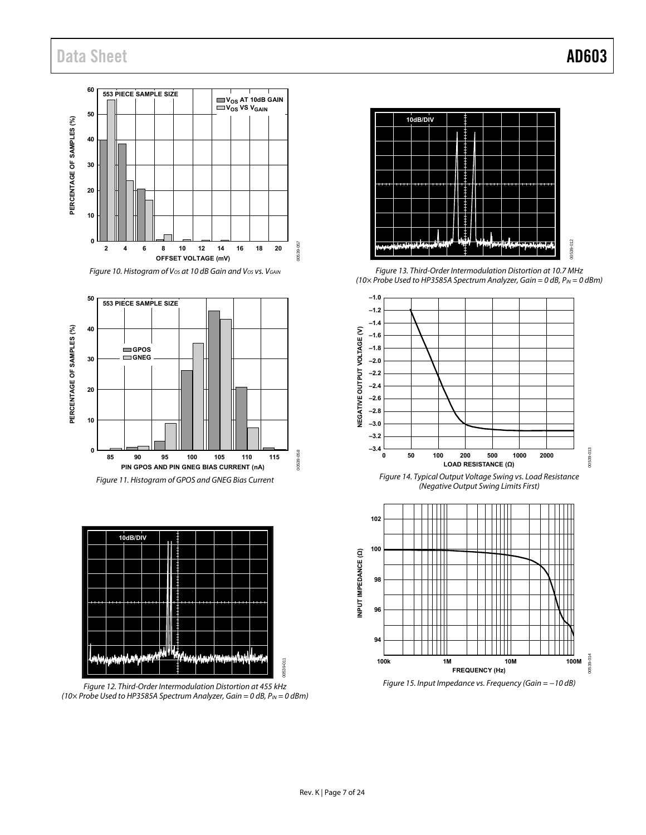









Figure 12. Third-Order Intermodulation Distortion at 455 kHz (10 $\times$  Probe Used to HP3585A Spectrum Analyzer, Gain = 0 dB, P<sub>IN</sub> = 0 dBm)



Figure 13. Third-Order Intermodulation Distortion at 10.7 MHz (10 $\times$  Probe Used to HP3585A Spectrum Analyzer, Gain = 0 dB, P<sub>IN</sub> = 0 dBm)







Figure 15. Input Impedance vs. Frequency (Gain = −10 dB)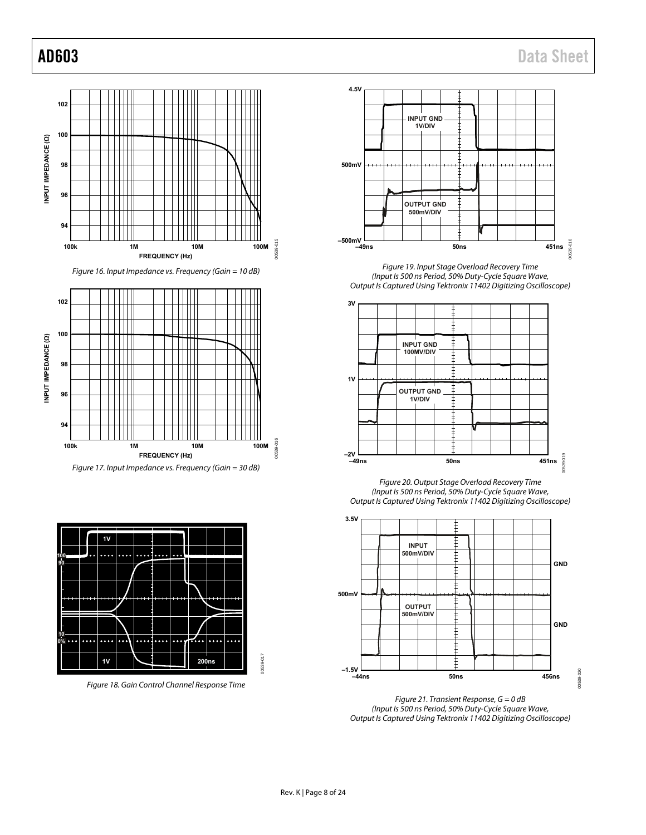

Figure 16. Input Impedance vs. Frequency (Gain = 10 dB)







Figure 18. Gain Control Channel Response Time



Figure 19. Input Stage Overload Recovery Time (Input Is 500 ns Period, 50% Duty-Cycle Square Wave, Output Is Captured Using Tektronix 11402 Digitizing Oscilloscope)



Figure 20. Output Stage Overload Recovery Time (Input Is 500 ns Period, 50% Duty-Cycle Square Wave, Output Is Captured Using Tektronix 11402 Digitizing Oscilloscope)



Figure 21. Transient Response,  $G = 0$  dB (Input Is 500 ns Period, 50% Duty-Cycle Square Wave, Output Is Captured Using Tektronix 11402 Digitizing Oscilloscope)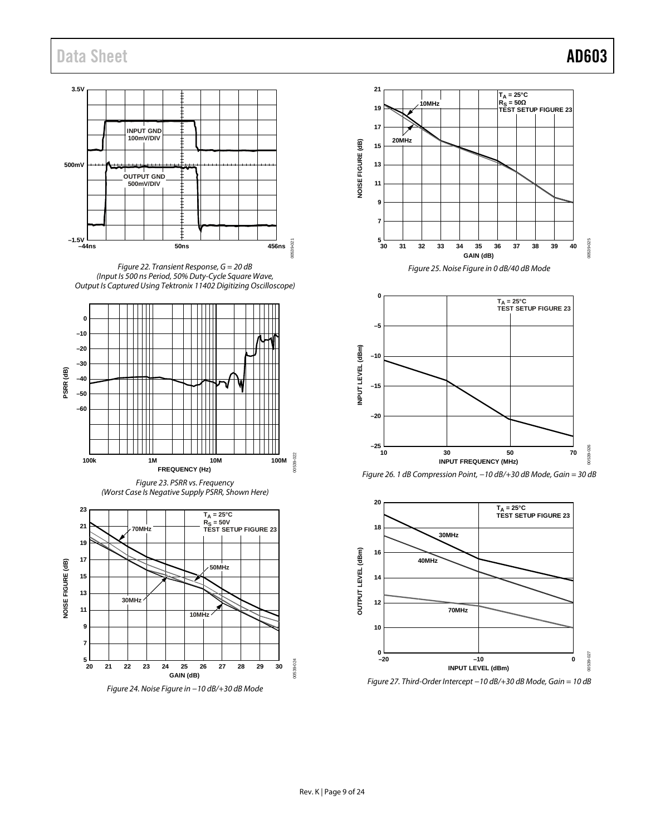00539-025

**DOL02500** 

00539-026

1539-026

00539-027

0539-027

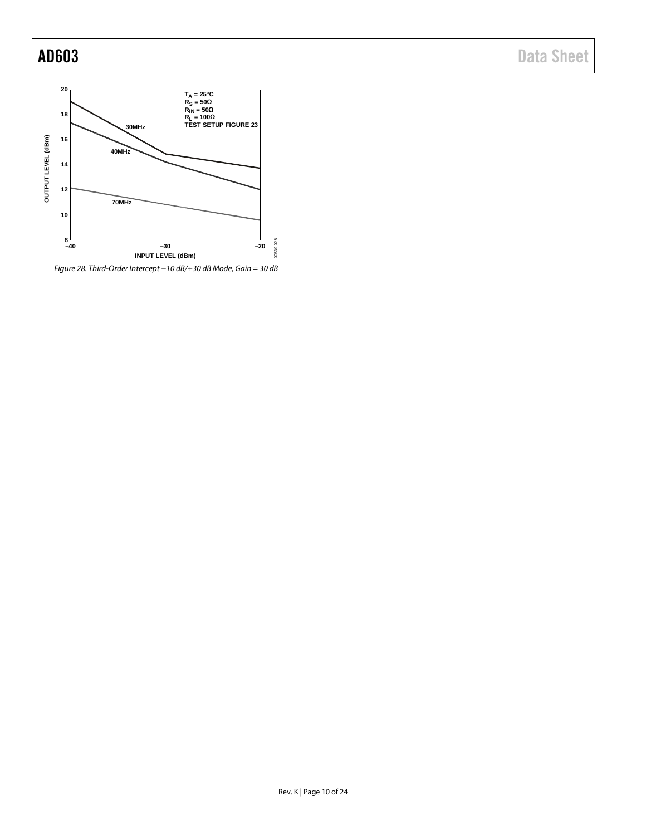

*Figure 28. Third-Order Intercept −10 dB/+30 dB Mode, Gain = 30 dB*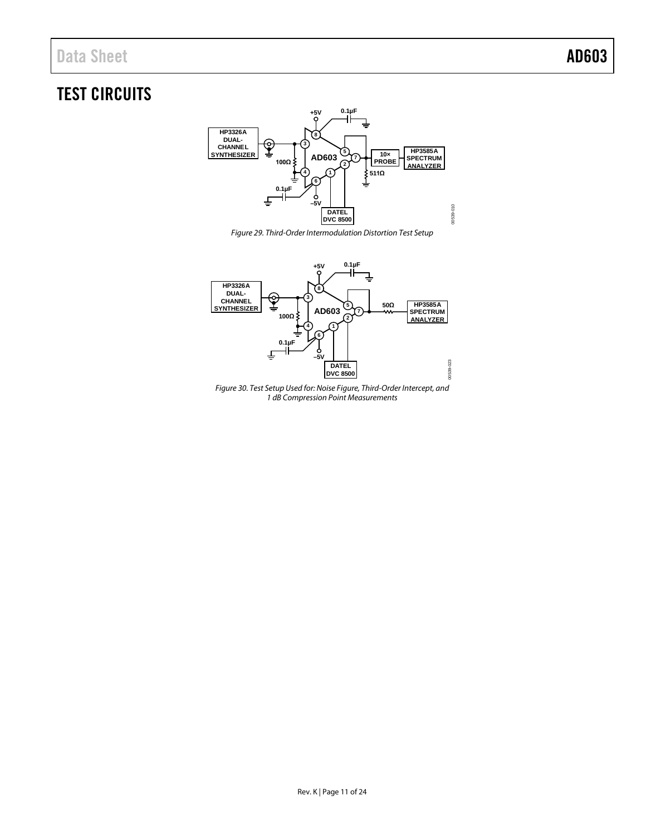## <span id="page-10-0"></span>TEST CIRCUITS



*Figure 29. Third-Order Intermodulation Distortion Test Setup*



*Figure 30. Test Setup Used for: Noise Figure, Third-Order Intercept, and 1 dB Compression Point Measurements*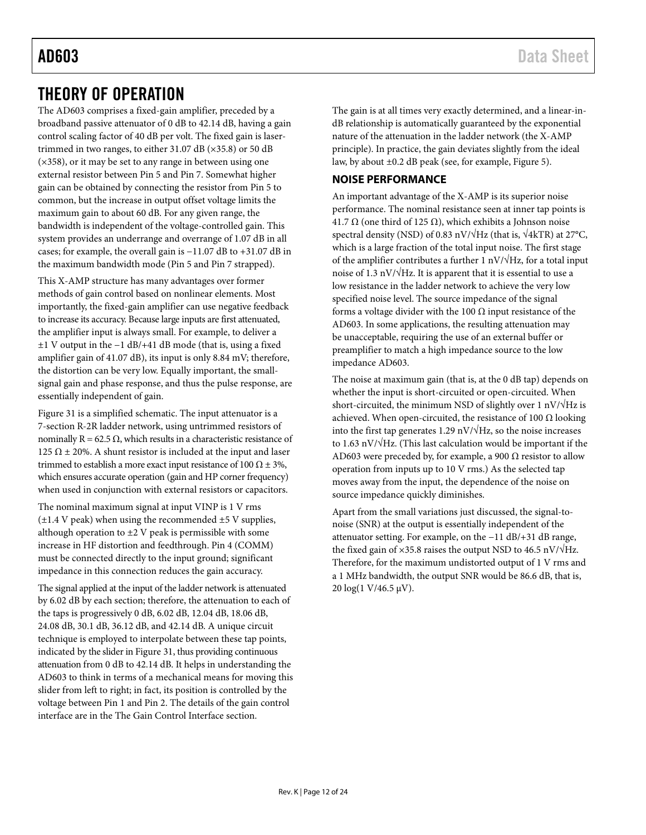## <span id="page-11-0"></span>THEORY OF OPERATION

The AD603 comprises a fixed-gain amplifier, preceded by a broadband passive attenuator of 0 dB to 42.14 dB, having a gain control scaling factor of 40 dB per volt. The fixed gain is lasertrimmed in two ranges, to either 31.07 dB (×35.8) or 50 dB  $(x358)$ , or it may be set to any range in between using one external resistor between Pin 5 and Pin 7. Somewhat higher gain can be obtained by connecting the resistor from Pin 5 to common, but the increase in output offset voltage limits the maximum gain to about 60 dB. For any given range, the bandwidth is independent of the voltage-controlled gain. This system provides an underrange and overrange of 1.07 dB in all cases; for example, the overall gain is −11.07 dB to +31.07 dB in the maximum bandwidth mode (Pin 5 and Pin 7 strapped).

This X-AMP structure has many advantages over former methods of gain control based on nonlinear elements. Most importantly, the fixed-gain amplifier can use negative feedback to increase its accuracy. Because large inputs are first attenuated, the amplifier input is always small. For example, to deliver a ±1 V output in the −1 dB/+41 dB mode (that is, using a fixed amplifier gain of 41.07 dB), its input is only 8.84 mV; therefore, the distortion can be very low. Equally important, the smallsignal gain and phase response, and thus the pulse response, are essentially independent of gain.

[Figure 31](#page-12-2) is a simplified schematic. The input attenuator is a 7-section R-2R ladder network, using untrimmed resistors of nominally  $R = 62.5 Ω$ , which results in a characteristic resistance of 125  $\Omega$  ± 20%. A shunt resistor is included at the input and laser trimmed to establish a more exact input resistance of 100  $\Omega \pm 3\%$ , which ensures accurate operation (gain and HP corner frequency) when used in conjunction with external resistors or capacitors.

The nominal maximum signal at input VINP is 1 V rms  $(\pm 1.4 \text{ V peak})$  when using the recommended  $\pm 5 \text{ V supplies}$ , although operation to ±2 V peak is permissible with some increase in HF distortion and feedthrough. Pin 4 (COMM) must be connected directly to the input ground; significant impedance in this connection reduces the gain accuracy.

The signal applied at the input of the ladder network is attenuated by 6.02 dB by each section; therefore, the attenuation to each of the taps is progressively 0 dB, 6.02 dB, 12.04 dB, 18.06 dB, 24.08 dB, 30.1 dB, 36.12 dB, and 42.14 dB. A unique circuit technique is employed to interpolate between these tap points, indicated by the slider i[n Figure 31,](#page-12-2) thus providing continuous attenuation from 0 dB to 42.14 dB. It helps in understanding the AD603 to think in terms of a mechanical means for moving this slider from left to right; in fact, its position is controlled by the voltage between Pin 1 and Pin 2. The details of the gain control interface are in the [The Gain Control Interface](#page-12-0) section.

The gain is at all times very exactly determined, and a linear-indB relationship is automatically guaranteed by the exponential nature of the attenuation in the ladder network (the X-AMP principle). In practice, the gain deviates slightly from the ideal law, by about ±0.2 dB peak (see, for example[, Figure 5\)](#page-5-1).

### <span id="page-11-1"></span>**NOISE PERFORMANCE**

An important advantage of the X-AMP is its superior noise performance. The nominal resistance seen at inner tap points is 41.7 Ω (one third of 125 Ω), which exhibits a Johnson noise spectral density (NSD) of 0.83 nV/ $\sqrt{\text{Hz}}$  (that is,  $\sqrt{4\text{kTR}}$ ) at 27°C, which is a large fraction of the total input noise. The first stage of the amplifier contributes a further 1 nV/ $\sqrt{Hz}$ , for a total input noise of 1.3 nV/√Hz. It is apparent that it is essential to use a low resistance in the ladder network to achieve the very low specified noise level. The source impedance of the signal forms a voltage divider with the 100  $\Omega$  input resistance of the AD603. In some applications, the resulting attenuation may be unacceptable, requiring the use of an external buffer or preamplifier to match a high impedance source to the low impedance AD603.

The noise at maximum gain (that is, at the 0 dB tap) depends on whether the input is short-circuited or open-circuited. When short-circuited, the minimum NSD of slightly over 1 nV/ $\sqrt{Hz}$  is achieved. When open-circuited, the resistance of 100  $\Omega$  looking into the first tap generates 1.29 nV/ $\sqrt{Hz}$ , so the noise increases to 1.63 nV/√Hz. (This last calculation would be important if the AD603 were preceded by, for example, a 900  $\Omega$  resistor to allow operation from inputs up to 10 V rms.) As the selected tap moves away from the input, the dependence of the noise on source impedance quickly diminishes.

Apart from the small variations just discussed, the signal-tonoise (SNR) at the output is essentially independent of the attenuator setting. For example, on the −11 dB/+31 dB range, the fixed gain of ×35.8 raises the output NSD to 46.5 nV/ $\sqrt{\text{Hz}}$ . Therefore, for the maximum undistorted output of 1 V rms and a 1 MHz bandwidth, the output SNR would be 86.6 dB, that is, 20 log(1 V/46.5 µV).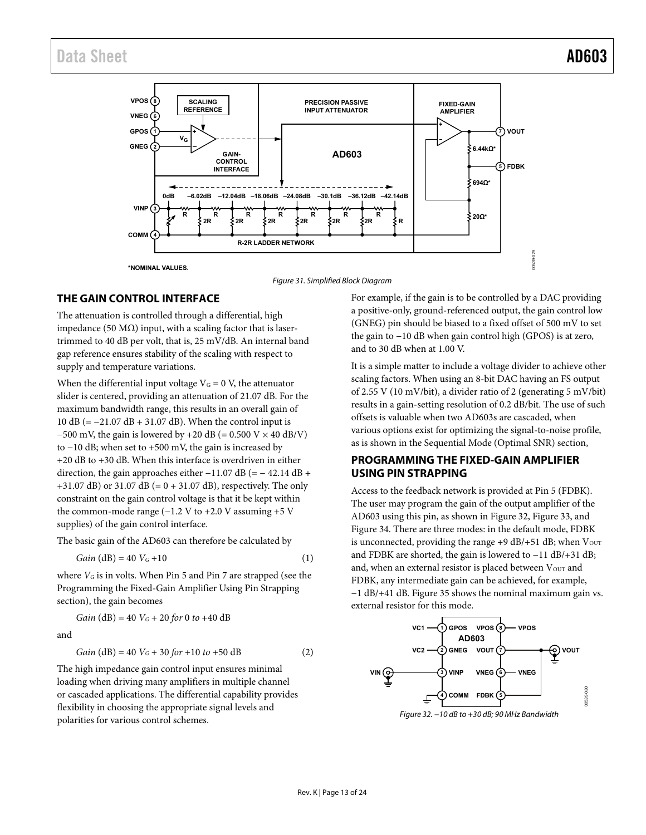



#### <span id="page-12-2"></span><span id="page-12-0"></span>**THE GAIN CONTROL INTERFACE**

The attenuation is controlled through a differential, high impedance (50 MΩ) input, with a scaling factor that is lasertrimmed to 40 dB per volt, that is, 25 mV/dB. An internal band gap reference ensures stability of the scaling with respect to supply and temperature variations.

When the differential input voltage  $V<sub>G</sub> = 0$  V, the attenuator slider is centered, providing an attenuation of 21.07 dB. For the maximum bandwidth range, this results in an overall gain of 10 dB (= −21.07 dB + 31.07 dB). When the control input is  $-500$  mV, the gain is lowered by +20 dB (= 0.500 V × 40 dB/V) to −10 dB; when set to +500 mV, the gain is increased by +20 dB to +30 dB. When this interface is overdriven in either direction, the gain approaches either  $-11.07$  dB (=  $-42.14$  dB + +31.07 dB) or 31.07 dB (= 0 + 31.07 dB), respectively. The only constraint on the gain control voltage is that it be kept within the common-mode range  $(-1.2 V to +2.0 V$  assuming +5 V supplies) of the gain control interface.

The basic gain of the AD603 can therefore be calculated by

$$
Gain (dB) = 40 V_G + 10
$$
 (1)

where *VG* is in volts. When Pin 5 and Pin 7 are strapped (see the [Programming the Fixed-Gain Amplifier Using Pin Strapping](#page-12-1)  section), the gain becomes

*Gain* (dB) = 40 
$$
V_G
$$
 + 20 *for* 0 *to* +40 dB

and

$$
Gain (dB) = 40 VG + 30 for +10 to +50 dB
$$
 (2)

The high impedance gain control input ensures minimal loading when driving many amplifiers in multiple channel or cascaded applications. The differential capability provides flexibility in choosing the appropriate signal levels and polarities for various control schemes.

For example, if the gain is to be controlled by a DAC providing a positive-only, ground-referenced output, the gain control low (GNEG) pin should be biased to a fixed offset of 500 mV to set the gain to −10 dB when gain control high (GPOS) is at zero, and to 30 dB when at 1.00 V.

It is a simple matter to include a voltage divider to achieve other scaling factors. When using an 8-bit DAC having an FS output of 2.55 V (10 mV/bit), a divider ratio of 2 (generating 5 mV/bit) results in a gain-setting resolution of 0.2 dB/bit. The use of such offsets is valuable when two AD603s are cascaded, when various options exist for optimizing the signal-to-noise profile, as is shown in the [Sequential Mode \(Optimal SNR\) s](#page-14-1)ection,

### <span id="page-12-1"></span>**PROGRAMMING THE FIXED-GAIN AMPLIFIER USING PIN STRAPPING**

Access to the feedback network is provided at Pin 5 (FDBK). The user may program the gain of the output amplifier of the AD603 using this pin, as shown in [Figure 32,](#page-12-3) [Figure 33,](#page-13-0) and [Figure 34.](#page-13-1) There are three modes: in the default mode, FDBK is unconnected, providing the range  $+9$  dB/ $+51$  dB; when  $V_{\text{OUT}}$ and FDBK are shorted, the gain is lowered to −11 dB/+31 dB; and, when an external resistor is placed between  $V_{\text{OUT}}$  and FDBK, any intermediate gain can be achieved, for example, −1 dB/+41 dB[. Figure 35](#page-13-2) shows the nominal maximum gain vs. external resistor for this mode.



<span id="page-12-3"></span>Figure 32. −10 dB to +30 dB; 90 MHz Bandwidth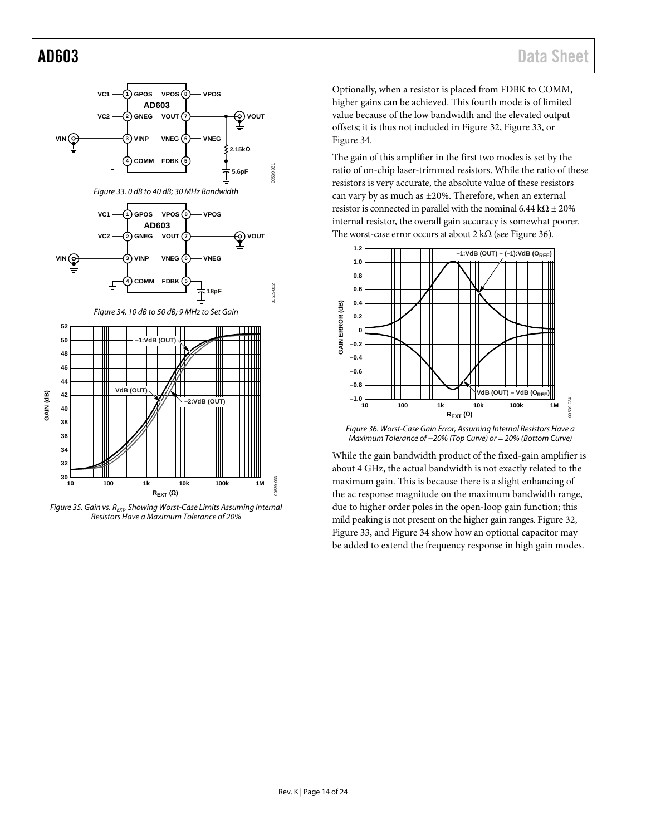<span id="page-13-0"></span>

<span id="page-13-2"></span><span id="page-13-1"></span>*Figure* 35. Gain vs. R<sub>EXT</sub>, Showing Worst-Case Limits Assuming Internal *Resistors Have a Maximum Tolerance of 20%*

Optionally, when a resistor is placed from FDBK to COMM, higher gains can be achieved. This fourth mode is of limited value because of the low bandwidth and the elevated output offsets; it is thus not included in [Figure 32,](#page-12-3) [Figure 33,](#page-13-0) or [Figure](#page-13-1) 34.

The gain of this amplifier in the first two modes is set by the ratio of on-chip laser-trimmed resistors. While the ratio of these resistors is very accurate, the absolute value of these resistors can vary by as much as ±20%. Therefore, when an external resistor is connected in parallel with the nominal 6.44 k $\Omega$  ± 20% internal resistor, the overall gain accuracy is somewhat poorer. The worst-case error occurs at about 2 k $\Omega$  (se[e Figure 36\)](#page-13-3).



<span id="page-13-3"></span>*Figure 36. Worst-Case Gain Error, Assuming Internal Resistors Have a Maximum Tolerance of −20% (Top Curve) or = 20% (Bottom Curve)*

While the gain bandwidth product of the fixed-gain amplifier is about 4 GHz, the actual bandwidth is not exactly related to the maximum gain. This is because there is a slight enhancing of the ac response magnitude on the maximum bandwidth range, due to higher order poles in the open-loop gain function; this mild peaking is not present on the higher gain ranges. [Figure 32,](#page-12-3)  [Figure 33,](#page-13-0) an[d Figure](#page-13-1) 34 show how an optional capacitor may be added to extend the frequency response in high gain modes.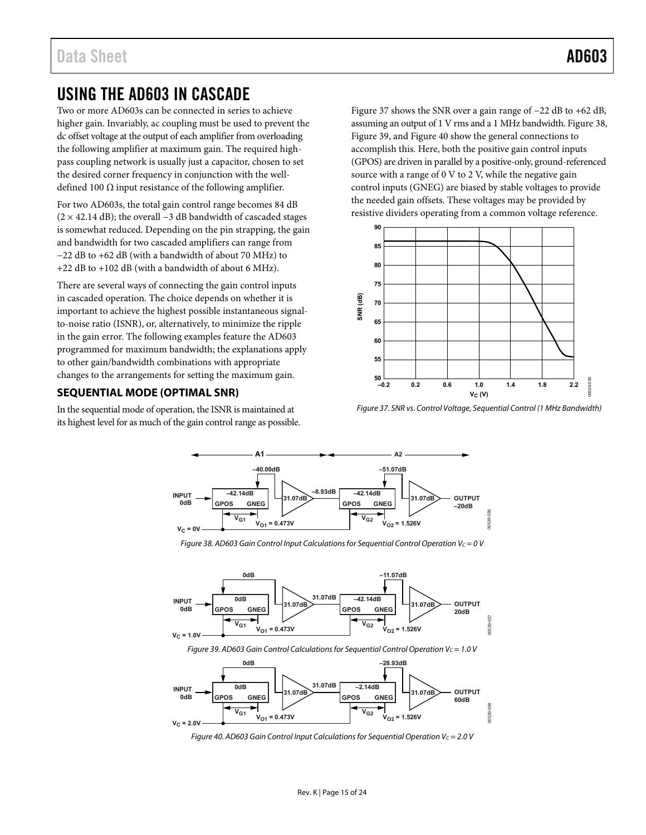## <span id="page-14-0"></span>USING THE AD603 IN CASCADE

Two or more AD603s can be connected in series to achieve higher gain. Invariably, ac coupling must be used to prevent the dc offset voltage at the output of each amplifier from overloading the following amplifier at maximum gain. The required highpass coupling network is usually just a capacitor, chosen to set the desired corner frequency in conjunction with the welldefined 100  $\Omega$  input resistance of the following amplifier.

For two AD603s, the total gain control range becomes 84 dB  $(2 \times 42.14$  dB); the overall –3 dB bandwidth of cascaded stages is somewhat reduced. Depending on the pin strapping, the gain and bandwidth for two cascaded amplifiers can range from −22 dB to +62 dB (with a bandwidth of about 70 MHz) to +22 dB to +102 dB (with a bandwidth of about 6 MHz).

There are several ways of connecting the gain control inputs in cascaded operation. The choice depends on whether it is important to achieve the highest possible instantaneous signalto-noise ratio (ISNR), or, alternatively, to minimize the ripple in the gain error. The following examples feature the AD603 programmed for maximum bandwidth; the explanations apply to other gain/bandwidth combinations with appropriate changes to the arrangements for setting the maximum gain.

### <span id="page-14-1"></span>**SEQUENTIAL MODE (OPTIMAL SNR)**

In the sequential mode of operation, the ISNR is maintained at its highest level for as much of the gain control range as possible. [Figure 37 s](#page-14-2)hows the SNR over a gain range of −22 dB to +62 dB, assuming an output of 1 V rms and a 1 MHz bandwidth[. Figure 38,](#page-14-3)  [Figure 39,](#page-14-4) an[d Figure 40](#page-14-5) show the general connections to accomplish this. Here, both the positive gain control inputs (GPOS) are driven in parallel by a positive-only, ground-referenced source with a range of 0 V to 2 V, while the negative gain control inputs (GNEG) are biased by stable voltages to provide the needed gain offsets. These voltages may be provided by resistive dividers operating from a common voltage reference.



<span id="page-14-2"></span>Figure 37. SNR vs. Control Voltage, Sequential Control (1 MHz Bandwidth)



Figure 38. AD603 Gain Control Input Calculations for Sequential Control Operation V $c = 0$  V

<span id="page-14-3"></span>

Figure 39. AD603 Gain Control Calculations for Sequential Control Operation  $V_c = 1.0 V$ 

<span id="page-14-5"></span><span id="page-14-4"></span>

Figure 40. AD603 Gain Control Input Calculations for Sequential Operation  $V_c = 2.0 V$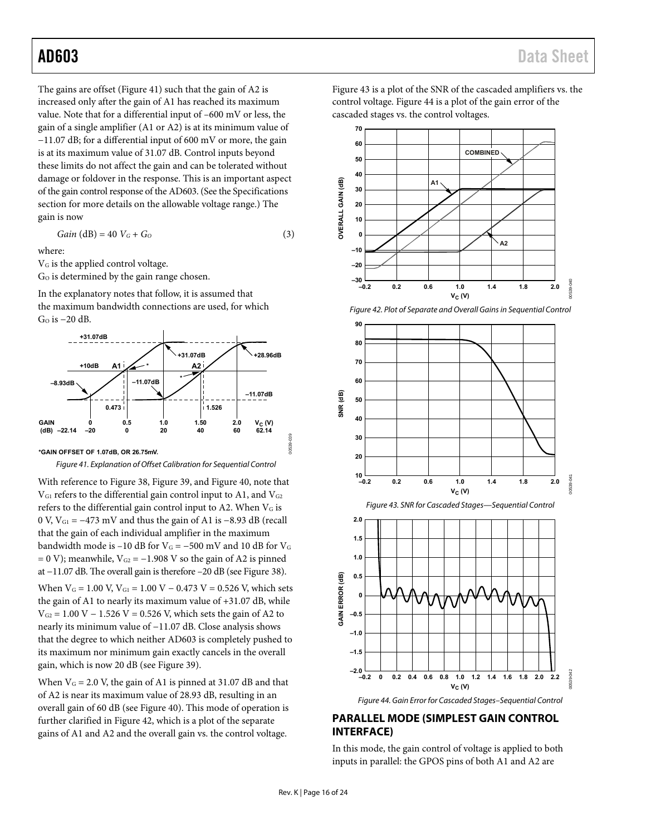The gains are offset [\(Figure 41\)](#page-15-1) such that the gain of A2 is increased only after the gain of A1 has reached its maximum value. Note that for a differential input of –600 mV or less, the gain of a single amplifier (A1 or A2) is at its minimum value of −11.07 dB; for a differential input of 600 mV or more, the gain is at its maximum value of 31.07 dB. Control inputs beyond these limits do not affect the gain and can be tolerated without damage or foldover in the response. This is an important aspect of the gain control response of the AD603. (See th[e Specifications](#page-2-0)  section for more details on the allowable voltage range.) The gain is now

$$
Gain (dB) = 40 VG + GO
$$
 (3)

where:

VG is the applied control voltage.

Go is determined by the gain range chosen.

In the explanatory notes that follow, it is assumed that the maximum bandwidth connections are used, for which GO is −20 dB.



<span id="page-15-1"></span>**\*GAIN OFFSET OF 1.07dB, OR 26.75mV.**

Figure 41. Explanation of Offset Calibration for Sequential Control

With reference t[o Figure 38,](#page-14-3) [Figure 39,](#page-14-4) an[d Figure 40,](#page-14-5) note that  $V_{\text{G1}}$  refers to the differential gain control input to A1, and  $V_{\text{G2}}$ refers to the differential gain control input to A2. When VG is 0 V, VG1 = −473 mV and thus the gain of A1 is −8.93 dB (recall that the gain of each individual amplifier in the maximum bandwidth mode is –10 dB for  $V$ G = –500 mV and 10 dB for  $V$ G  $= 0$  V); meanwhile, V<sub>G2</sub> = -1.908 V so the gain of A2 is pinned at −11.07 dB. The overall gain is therefore –20 dB (se[e Figure 38\)](#page-14-3). When  $V_G = 1.00$  V,  $V_{G1} = 1.00$  V – 0.473 V = 0.526 V, which sets the gain of A1 to nearly its maximum value of +31.07 dB, while  $V_{G2} = 1.00 V - 1.526 V = 0.526 V$ , which sets the gain of A2 to nearly its minimum value of −11.07 dB. Close analysis shows that the degree to which neither AD603 is completely pushed to its maximum nor minimum gain exactly cancels in the overall gain, which is now 20 dB (see [Figure 39\)](#page-14-4).

When  $V_G = 2.0$  V, the gain of A1 is pinned at 31.07 dB and that of A2 is near its maximum value of 28.93 dB, resulting in an overall gain of 60 dB (see [Figure 40\)](#page-14-5). This mode of operation is further clarified i[n Figure 42,](#page-15-2) which is a plot of the separate gains of A1 and A2 and the overall gain vs. the control voltage.

[Figure 43 i](#page-15-3)s a plot of the SNR of the cascaded amplifiers vs. the control voltage[. Figure 44](#page-15-4) is a plot of the gain error of the cascaded stages vs. the control voltages.



Figure 42. Plot of Separate and Overall Gains in Sequential Control

<span id="page-15-2"></span>

Figure 44. Gain Error for Cascaded Stages–Sequential Control

#### <span id="page-15-4"></span><span id="page-15-0"></span>**PARALLEL MODE (SIMPLEST GAIN CONTROL INTERFACE)**

In this mode, the gain control of voltage is applied to both inputs in parallel: the GPOS pins of both A1 and A2 are

<span id="page-15-3"></span>00539-039

039 0539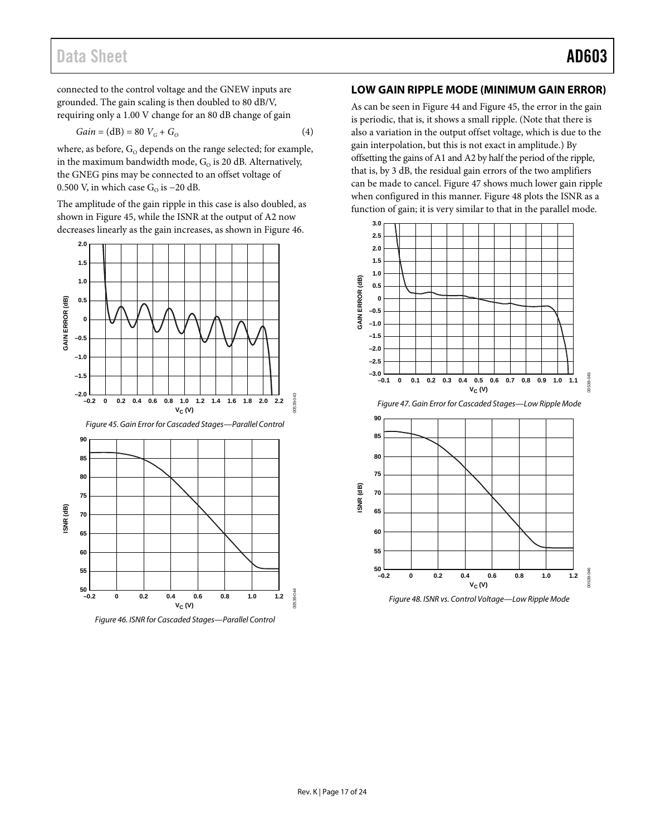## Data Sheet **AD603**

connected to the control voltage and the GNEW inputs are grounded. The gain scaling is then doubled to 80 dB/V, requiring only a 1.00 V change for an 80 dB change of gain

$$
Gain = (dB) = 80 VG + GO
$$
 (4)

where, as before,  $G_0$  depends on the range selected; for example, in the maximum bandwidth mode,  $G_0$  is 20 dB. Alternatively, the GNEG pins may be connected to an offset voltage of 0.500 V, in which case  $G<sub>o</sub>$  is −20 dB.

The amplitude of the gain ripple in this case is also doubled, as shown in [Figure 45,](#page-16-1) while the ISNR at the output of A2 now decreases linearly as the gain increases, as shown i[n Figure 46.](#page-16-2)

<span id="page-16-1"></span>

<span id="page-16-2"></span>*Figure 46. ISNR for Cascaded Stages—Parallel Control*

#### <span id="page-16-0"></span>**LOW GAIN RIPPLE MODE (MINIMUM GAIN ERROR)**

As can be seen i[n Figure 44](#page-15-4) and [Figure 45,](#page-16-1) the error in the gain is periodic, that is, it shows a small ripple. (Note that there is also a variation in the output offset voltage, which is due to the gain interpolation, but this is not exact in amplitude.) By offsetting the gains of A1 and A2 by half the period of the ripple, that is, by 3 dB, the residual gain errors of the two amplifiers can be made to cancel[. Figure 47](#page-16-3) shows much lower gain ripple when configured in this manner. [Figure 48](#page-16-4) plots the ISNR as a function of gain; it is very similar to that in the parallel mode.



<span id="page-16-3"></span>

<span id="page-16-4"></span>*Figure 48. ISNR vs. Control Voltage—Low Ripple Mode*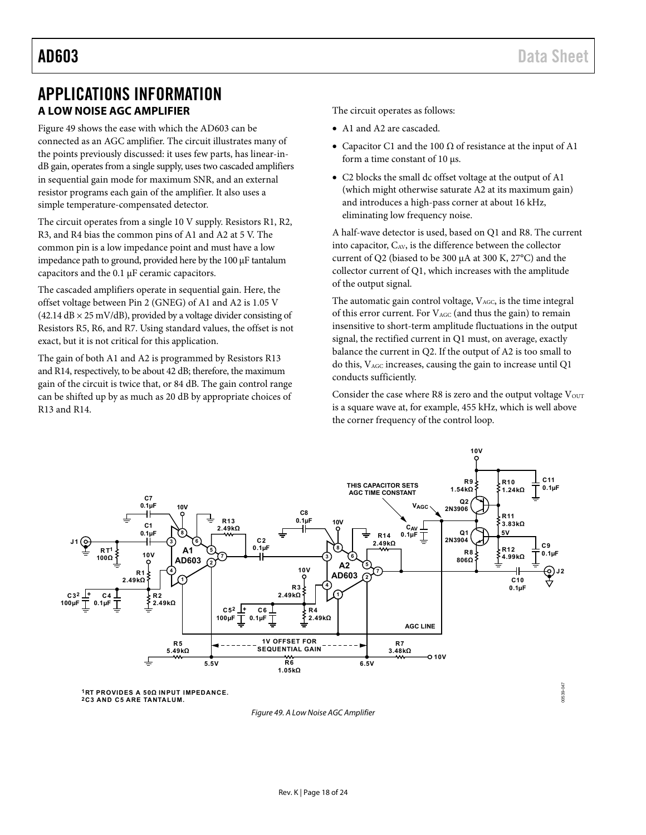## <span id="page-17-1"></span><span id="page-17-0"></span>APPLICATIONS INFORMATION **A LOW NOISE AGC AMPLIFIER**

[Figure 49 s](#page-17-2)hows the ease with which the AD603 can be connected as an AGC amplifier. The circuit illustrates many of the points previously discussed: it uses few parts, has linear-indB gain, operates from a single supply, uses two cascaded amplifiers in sequential gain mode for maximum SNR, and an external resistor programs each gain of the amplifier. It also uses a simple temperature-compensated detector.

The circuit operates from a single 10 V supply. Resistors R1, R2, R3, and R4 bias the common pins of A1 and A2 at 5 V. The common pin is a low impedance point and must have a low impedance path to ground, provided here by the 100 μF tantalum capacitors and the 0.1 μF ceramic capacitors.

The cascaded amplifiers operate in sequential gain. Here, the offset voltage between Pin 2 (GNEG) of A1 and A2 is 1.05 V  $(42.14$  dB  $\times$  25 mV/dB), provided by a voltage divider consisting of Resistors R5, R6, and R7. Using standard values, the offset is not exact, but it is not critical for this application.

The gain of both A1 and A2 is programmed by Resistors R13 and R14, respectively, to be about 42 dB; therefore, the maximum gain of the circuit is twice that, or 84 dB. The gain control range can be shifted up by as much as 20 dB by appropriate choices of R13 and R14.

The circuit operates as follows:

- A1 and A2 are cascaded.
- Capacitor C1 and the 100  $\Omega$  of resistance at the input of A1 form a time constant of 10 μs.
- C2 blocks the small dc offset voltage at the output of A1 (which might otherwise saturate A2 at its maximum gain) and introduces a high-pass corner at about 16 kHz, eliminating low frequency noise.

A half-wave detector is used, based on Q1 and R8. The current into capacitor,  $C_{AV}$ , is the difference between the collector current of Q2 (biased to be 300 μA at 300 K, 27°C) and the collector current of Q1, which increases with the amplitude of the output signal.

The automatic gain control voltage, VAGC, is the time integral of this error current. For VAGC (and thus the gain) to remain insensitive to short-term amplitude fluctuations in the output signal, the rectified current in Q1 must, on average, exactly balance the current in Q2. If the output of A2 is too small to do this, VAGC increases, causing the gain to increase until Q1 conducts sufficiently.

Consider the case where R8 is zero and the output voltage  $V<sub>OUT</sub>$ is a square wave at, for example, 455 kHz, which is well above the corner frequency of the control loop.



<span id="page-17-2"></span>**1RT PROVIDES A 50Ω INPUT IMPEDANCE. 2C3 AND C5 ARE TANTALUM.**

Figure 49. A Low Noise AGC Amplifier

0539-047 00539-047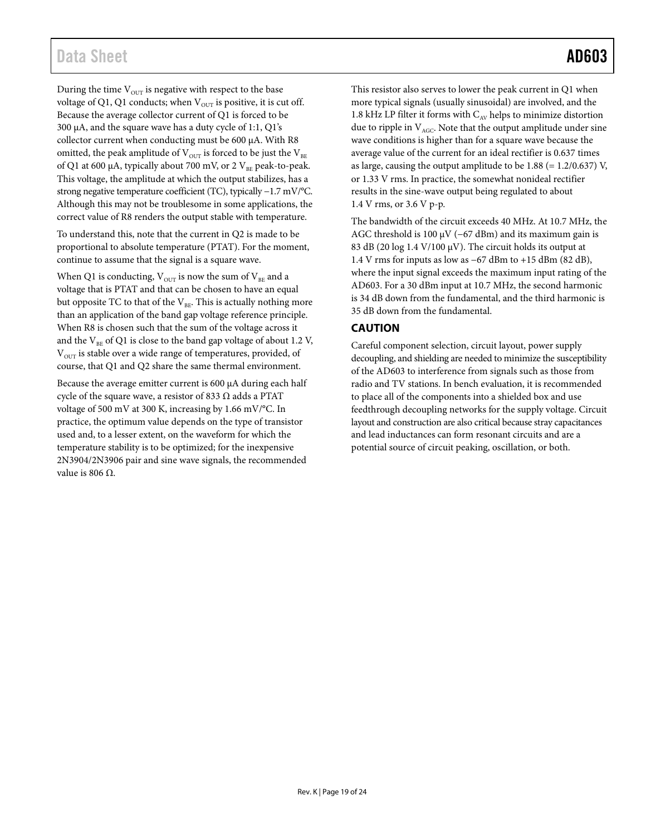During the time  $V<sub>OUT</sub>$  is negative with respect to the base voltage of Q1, Q1 conducts; when  $V_{\text{OUT}}$  is positive, it is cut off. Because the average collector current of Q1 is forced to be 300 µA, and the square wave has a duty cycle of 1:1, Q1's collector current when conducting must be 600 µA. With R8 omitted, the peak amplitude of  $V_{\text{OUT}}$  is forced to be just the  $V_{\text{BE}}$ of Q1 at 600  $\mu$ A, typically about 700 mV, or 2 V<sub>BE</sub> peak-to-peak. This voltage, the amplitude at which the output stabilizes, has a strong negative temperature coefficient (TC), typically −1.7 mV/°C. Although this may not be troublesome in some applications, the correct value of R8 renders the output stable with temperature.

To understand this, note that the current in Q2 is made to be proportional to absolute temperature (PTAT). For the moment, continue to assume that the signal is a square wave.

When Q1 is conducting,  $V_{OUT}$  is now the sum of  $V_{BE}$  and a voltage that is PTAT and that can be chosen to have an equal but opposite TC to that of the  $V_{BE}$ . This is actually nothing more than an application of the band gap voltage reference principle. When R8 is chosen such that the sum of the voltage across it and the  $V_{BE}$  of Q1 is close to the band gap voltage of about 1.2 V,  $V<sub>OUT</sub>$  is stable over a wide range of temperatures, provided, of course, that Q1 and Q2 share the same thermal environment.

Because the average emitter current is 600 µA during each half cycle of the square wave, a resistor of 833  $\Omega$  adds a PTAT voltage of 500 mV at 300 K, increasing by 1.66 mV/°C. In practice, the optimum value depends on the type of transistor used and, to a lesser extent, on the waveform for which the temperature stability is to be optimized; for the inexpensive 2N3904/2N3906 pair and sine wave signals, the recommended value is 806  $Ω$ .

This resistor also serves to lower the peak current in Q1 when more typical signals (usually sinusoidal) are involved, and the 1.8 kHz LP filter it forms with  $C_{AV}$  helps to minimize distortion due to ripple in  $V_{AGC}$ . Note that the output amplitude under sine wave conditions is higher than for a square wave because the average value of the current for an ideal rectifier is 0.637 times as large, causing the output amplitude to be  $1.88$  (=  $1.2/0.637$ ) V, or 1.33 V rms. In practice, the somewhat nonideal rectifier results in the sine-wave output being regulated to about 1.4 V rms, or 3.6 V p-p.

The bandwidth of the circuit exceeds 40 MHz. At 10.7 MHz, the AGC threshold is 100  $\mu$ V (−67 dBm) and its maximum gain is 83 dB (20 log 1.4 V/100  $\mu$ V). The circuit holds its output at 1.4 V rms for inputs as low as −67 dBm to +15 dBm (82 dB), where the input signal exceeds the maximum input rating of the AD603. For a 30 dBm input at 10.7 MHz, the second harmonic is 34 dB down from the fundamental, and the third harmonic is 35 dB down from the fundamental.

### <span id="page-18-0"></span>**CAUTION**

Careful component selection, circuit layout, power supply decoupling, and shielding are needed to minimize the susceptibility of the AD603 to interference from signals such as those from radio and TV stations. In bench evaluation, it is recommended to place all of the components into a shielded box and use feedthrough decoupling networks for the supply voltage. Circuit layout and construction are also critical because stray capacitances and lead inductances can form resonant circuits and are a potential source of circuit peaking, oscillation, or both.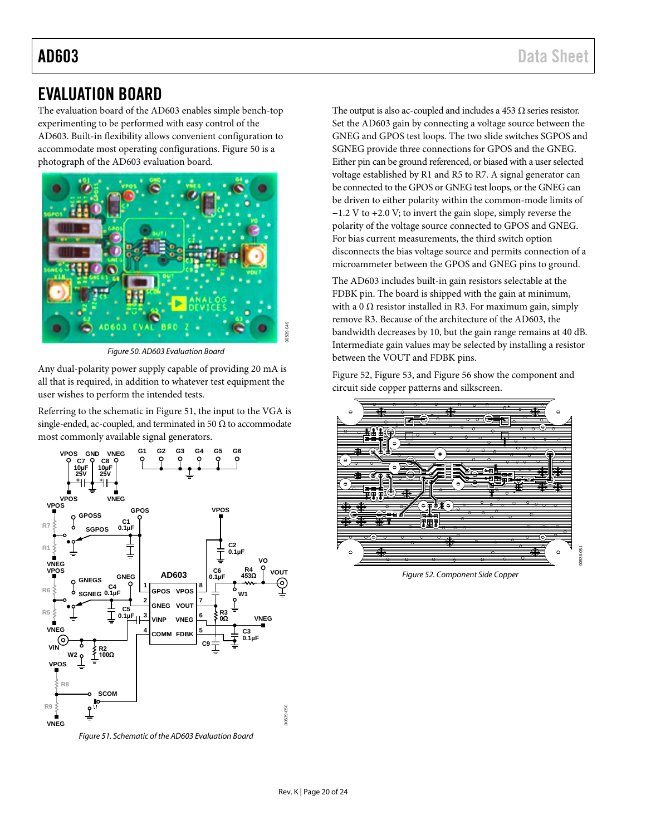## <span id="page-19-0"></span>EVALUATION BOARD

The evaluation board of the AD603 enables simple bench-top experimenting to be performed with easy control of the AD603. Built-in flexibility allows convenient configuration to accommodate most operating configurations[. Figure 50](#page-19-1) is a photograph of the AD603 evaluation board.



*Figure 50. AD603 Evaluation Board*

<span id="page-19-1"></span>Any dual-polarity power supply capable of providing 20 mA is all that is required, in addition to whatever test equipment the user wishes to perform the intended tests.

Referring to the schematic in [Figure 51,](#page-19-2) the input to the VGA is single-ended, ac-coupled, and terminated in 50  $\Omega$  to accommodate most commonly available signal generators.



<span id="page-19-2"></span>*Figure 51. Schematic of the AD603 Evaluation Board*

The output is also ac-coupled and includes a 453  $\Omega$  series resistor. Set the AD603 gain by connecting a voltage source between the GNEG and GPOS test loops. The two slide switches SGPOS and SGNEG provide three connections for GPOS and the GNEG. Either pin can be ground referenced, or biased with a user selected voltage established by R1 and R5 to R7. A signal generator can be connected to the GPOS or GNEG test loops, or the GNEG can be driven to either polarity within the common-mode limits of −1.2 V to +2.0 V; to invert the gain slope, simply reverse the polarity of the voltage source connected to GPOS and GNEG. For bias current measurements, the third switch option disconnects the bias voltage source and permits connection of a microammeter between the GPOS and GNEG pins to ground.

The AD603 includes built-in gain resistors selectable at the FDBK pin. The board is shipped with the gain at minimum, with a 0  $\Omega$  resistor installed in R3. For maximum gain, simply remove R3. Because of the architecture of the AD603, the bandwidth decreases by 10, but the gain range remains at 40 dB. Intermediate gain values may be selected by installing a resistor between the VOUT and FDBK pins.

[Figure 52,](#page-19-3) [Figure 53,](#page-20-0) an[d Figure 56](#page-20-1) show the component and circuit side copper patterns and silkscreen.



<span id="page-19-3"></span>*Figure 52. Component Side Copper*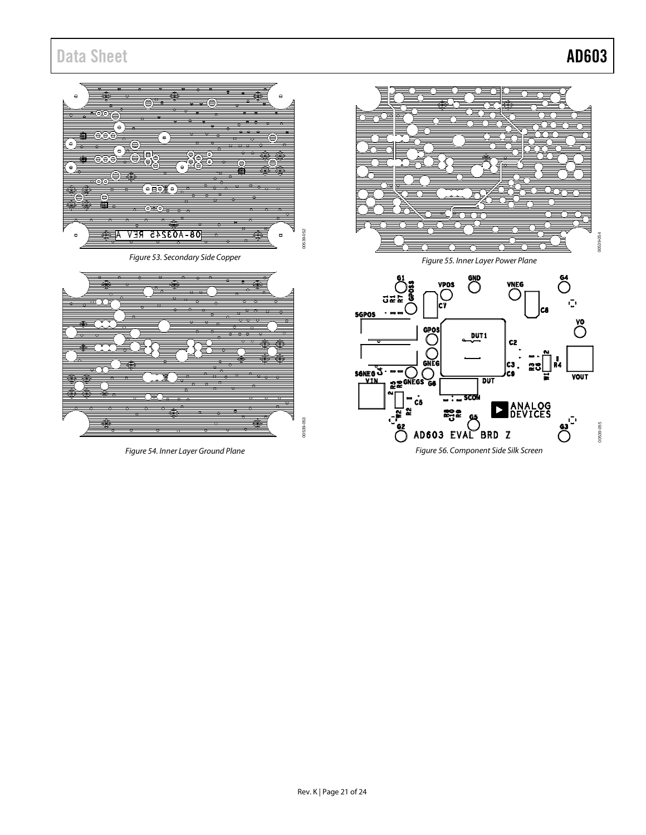## Data Sheet **AD603**

00539-054

005394

 $\bigodot^6$ 

 $\tilde{\mathbb{C}}^*$ 

 $\bigcirc$ 

**VOUT** 

 $\mathbb{C}^{\mathbf{i}}$ 

<span id="page-20-1"></span>( )

00539-055

00539-055

<span id="page-20-0"></span>

*Figure 54. Inner Layer Ground Plane*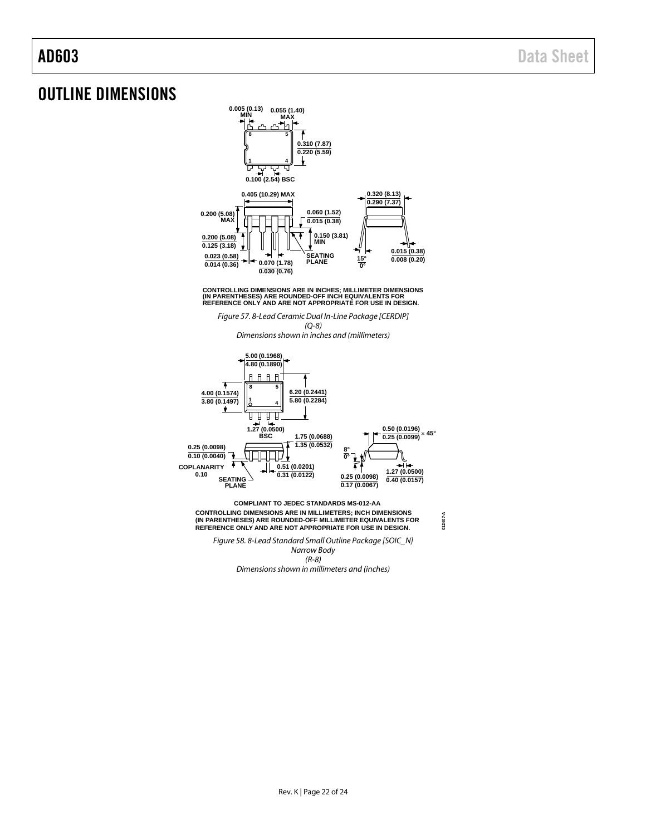## <span id="page-21-0"></span>OUTLINE DIMENSIONS



CONTROLLING DIMENSIONS ARE IN INCHES; MILLIMETER DIMENSIONS<br>(IN PARENTHESES) ARE ROUNDED-OFF INCH EQUIVALENTS FOR<br>REFERENCE ONLY AND ARE NOT APPROPRIATE FOR USE IN DESIGN.

*Figure 57. 8-Lead Ceramic Dual In-Line Package [CERDIP] (Q-8)*

*Dimensions shown in inches and (millimeters)*



**012407-A**

*Figure 58. 8-Lead Standard Small Outline Package [SOIC\_N] Narrow Body (R-8)*

**(IN PARENTHESES) ARE ROUNDED-OFF MILLIMETER EQUIVALENTS FOR REFERENCE ONLY AND ARE NOT APPROPRIATE FOR USE IN DESIGN.**

*Dimensions shown in millimeters and (inches)*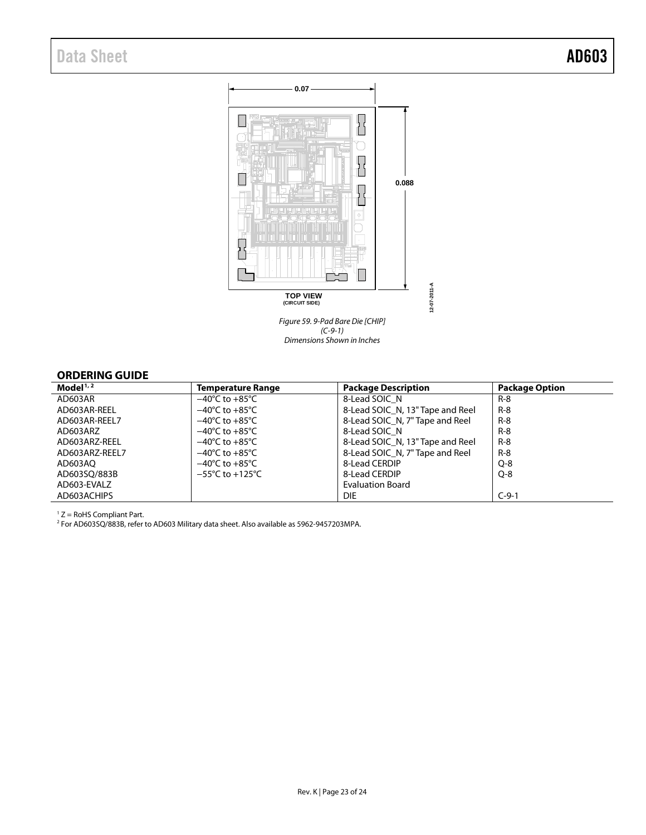## Data Sheet **AD603**



*(C-9-1) Dimensions Shown in Inches*

#### <span id="page-22-0"></span>**ORDERING GUIDE**

| Model $1/2$    | Temperature Range                   | <b>Package Description</b>       | <b>Package Option</b> |
|----------------|-------------------------------------|----------------------------------|-----------------------|
| AD603AR        | $-40^{\circ}$ C to $+85^{\circ}$ C  | 8-Lead SOIC N                    | R-8                   |
| AD603AR-REEL   | $-40^{\circ}$ C to $+85^{\circ}$ C  | 8-Lead SOIC N, 13" Tape and Reel | $R - 8$               |
| AD603AR-REEL7  | $-40^{\circ}$ C to $+85^{\circ}$ C  | 8-Lead SOIC N, 7" Tape and Reel  | $R-8$                 |
| AD603ARZ       | $-40^{\circ}$ C to $+85^{\circ}$ C  | 8-Lead SOIC N                    | $R-8$                 |
| AD603ARZ-REEL  | $-40^{\circ}$ C to $+85^{\circ}$ C  | 8-Lead SOIC N, 13" Tape and Reel | $R-8$                 |
| AD603ARZ-REEL7 | $-40^{\circ}$ C to $+85^{\circ}$ C  | 8-Lead SOIC N, 7" Tape and Reel  | $R-8$                 |
| AD603AO        | $-40^{\circ}$ C to $+85^{\circ}$ C  | 8-Lead CERDIP                    | $Q - 8$               |
| AD603SO/883B   | $-55^{\circ}$ C to $+125^{\circ}$ C | 8-Lead CERDIP                    | $O-8$                 |
| AD603-EVALZ    |                                     | <b>Evaluation Board</b>          |                       |
| AD603ACHIPS    |                                     | <b>DIE</b>                       | $C-9-1$               |

 $1 Z =$  RoHS Compliant Part.

 $^2$  For AD603SQ/883B, refer to AD603 Military data sheet. Also available as 5962-9457203MPA.